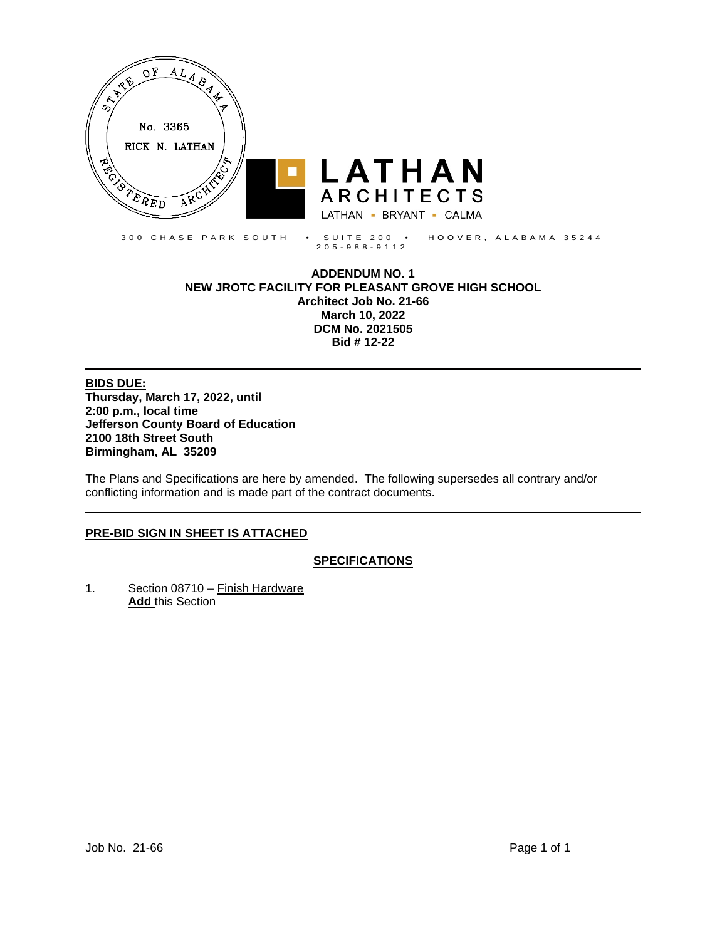

205 - 988 - 9112

#### **ADDENDUM NO. 1 NEW JROTC FACILITY FOR PLEASANT GROVE HIGH SCHOOL Architect Job No. 21-66 March 10, 2022 DCM No. 2021505 Bid # 12-22**

**BIDS DUE: Thursday, March 17, 2022, until 2:00 p.m., local time Jefferson County Board of Education 2100 18th Street South Birmingham, AL 35209**

The Plans and Specifications are here by amended. The following supersedes all contrary and/or conflicting information and is made part of the contract documents.

# **PRE-BID SIGN IN SHEET IS ATTACHED**

# **SPECIFICATIONS**

1. Section 08710 – Finish Hardware **Add** this Section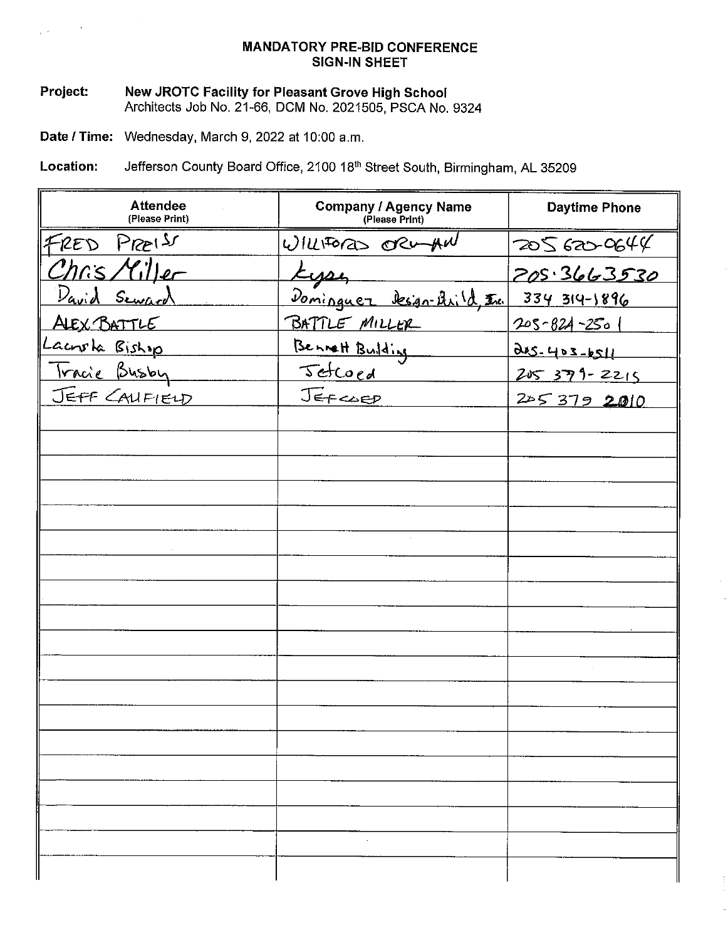# **MANDATORY PRE-BID CONFERENCE SIGN-IN SHEET**

# New JROTC Facility for Pleasant Grove High School<br>Architects Job No. 21-66, DCM No. 2021505, PSCA No. 9324 Project:

Date / Time: Wednesday, March 9, 2022 at 10:00 a.m.

Jefferson County Board Office, 2100 18th Street South, Birmingham, AL 35209 Location:

| <b>Attendee</b><br>(Please Print) | <b>Company / Agency Name</b><br>(Please Print) | <b>Daytime Phone</b> |
|-----------------------------------|------------------------------------------------|----------------------|
| FRED PREIS                        | WILLFORD ORWAN                                 | 205620644            |
| Chris Miller                      | Lyse                                           | <u> 205.3663530</u>  |
| <u>David Seward</u>               | <u>Dominguer Design-Arild Inc.</u>             | 334 314-1896         |
| ALEX BATTLE                       | BATTLE MILLER                                  | 205-824-2501         |
| Lacrota Biship                    | Bennett Building                               | $0.05 - 403 - 6511$  |
| <u>Tracie Busby</u>               | Jetcoed                                        | 205 379-2215         |
| JEFF CAUFIEUD                     | JEFCOED                                        | 2053792010           |
|                                   |                                                |                      |
|                                   |                                                |                      |
|                                   |                                                |                      |
|                                   |                                                |                      |
|                                   |                                                |                      |
|                                   |                                                |                      |
|                                   |                                                |                      |
|                                   |                                                |                      |
|                                   |                                                |                      |
|                                   |                                                |                      |
|                                   |                                                |                      |
|                                   |                                                |                      |
|                                   |                                                |                      |
|                                   |                                                |                      |
|                                   |                                                |                      |
|                                   |                                                |                      |
|                                   |                                                |                      |
|                                   |                                                |                      |
|                                   |                                                |                      |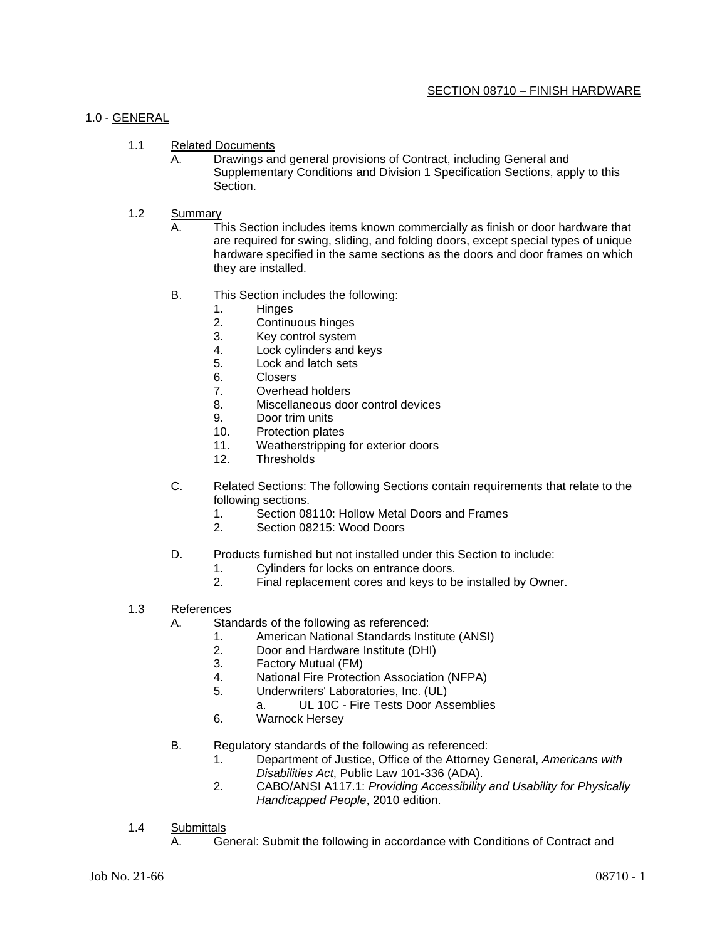#### 1.0 - GENERAL

- 1.1 Related Documents
	- A. Drawings and general provisions of Contract, including General and Supplementary Conditions and Division 1 Specification Sections, apply to this Section.

#### 1.2 Summary

- A. This Section includes items known commercially as finish or door hardware that are required for swing, sliding, and folding doors, except special types of unique hardware specified in the same sections as the doors and door frames on which they are installed.
- B. This Section includes the following:
	- 1. Hinges
	- 2. Continuous hinges
	- 3. Key control system
	- 4. Lock cylinders and keys
	- 5. Lock and latch sets
	- 6. Closers
	- 7. Overhead holders
	- 8. Miscellaneous door control devices<br>9. Door trim units
	- Door trim units
	- 10. Protection plates
	- 11. Weatherstripping for exterior doors
	- 12. Thresholds
- C. Related Sections: The following Sections contain requirements that relate to the following sections.
	- 1. Section 08110: Hollow Metal Doors and Frames<br>2. Section 08215: Wood Doors
	- Section 08215: Wood Doors
- D. Products furnished but not installed under this Section to include:
	- 1. Cylinders for locks on entrance doors.<br>2. Final replacement cores and keys to be
	- Final replacement cores and keys to be installed by Owner.
- 1.3 References
	- A. Standards of the following as referenced:
		- 1. American National Standards Institute (ANSI)
		- 2. Door and Hardware Institute (DHI)
		- 3. Factory Mutual (FM)
		- 4. National Fire Protection Association (NFPA)
		- 5. Underwriters' Laboratories, Inc. (UL)
			- a. UL 10C Fire Tests Door Assemblies
		- 6. Warnock Hersey
	- B. Regulatory standards of the following as referenced:
		- 1. Department of Justice, Office of the Attorney General, *Americans with Disabilities Act*, Public Law 101-336 (ADA).
		- 2. CABO/ANSI A117.1: *Providing Accessibility and Usability for Physically Handicapped People*, 2010 edition.
- 1.4 Submittals
	- A. General: Submit the following in accordance with Conditions of Contract and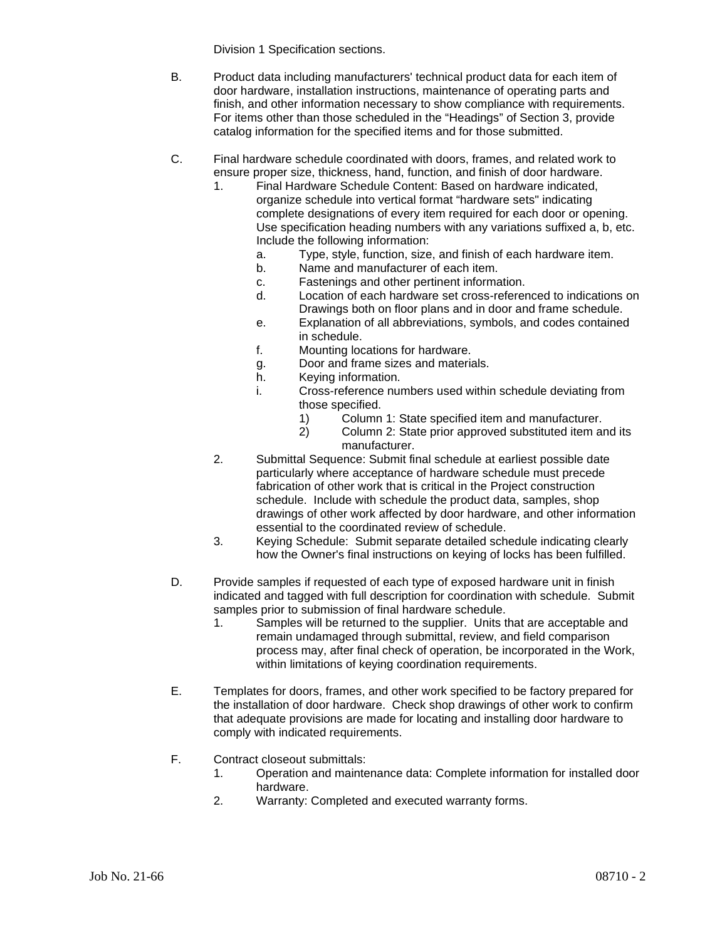Division 1 Specification sections.

- B. Product data including manufacturers' technical product data for each item of door hardware, installation instructions, maintenance of operating parts and finish, and other information necessary to show compliance with requirements. For items other than those scheduled in the "Headings" of Section 3, provide catalog information for the specified items and for those submitted.
- C. Final hardware schedule coordinated with doors, frames, and related work to ensure proper size, thickness, hand, function, and finish of door hardware.
	- 1. Final Hardware Schedule Content: Based on hardware indicated, organize schedule into vertical format "hardware sets" indicating complete designations of every item required for each door or opening. Use specification heading numbers with any variations suffixed a, b, etc. Include the following information:
		- a. Type, style, function, size, and finish of each hardware item.
		- b. Name and manufacturer of each item.
		- c. Fastenings and other pertinent information.
		- d. Location of each hardware set cross-referenced to indications on Drawings both on floor plans and in door and frame schedule.
		- e. Explanation of all abbreviations, symbols, and codes contained in schedule.
		- f. Mounting locations for hardware.
		- g. Door and frame sizes and materials.
		- h. Keying information.
		- i. Cross-reference numbers used within schedule deviating from those specified.
			- 1) Column 1: State specified item and manufacturer.<br>2) Column 2: State prior approved substituted item are
			- 2) Column 2: State prior approved substituted item and its manufacturer.
	- 2. Submittal Sequence: Submit final schedule at earliest possible date particularly where acceptance of hardware schedule must precede fabrication of other work that is critical in the Project construction schedule. Include with schedule the product data, samples, shop drawings of other work affected by door hardware, and other information essential to the coordinated review of schedule.
	- 3. Keying Schedule: Submit separate detailed schedule indicating clearly how the Owner's final instructions on keying of locks has been fulfilled.
- D. Provide samples if requested of each type of exposed hardware unit in finish indicated and tagged with full description for coordination with schedule. Submit samples prior to submission of final hardware schedule.
	- 1. Samples will be returned to the supplier. Units that are acceptable and remain undamaged through submittal, review, and field comparison process may, after final check of operation, be incorporated in the Work, within limitations of keying coordination requirements.
- E. Templates for doors, frames, and other work specified to be factory prepared for the installation of door hardware. Check shop drawings of other work to confirm that adequate provisions are made for locating and installing door hardware to comply with indicated requirements.
- F. Contract closeout submittals:
	- 1. Operation and maintenance data: Complete information for installed door hardware.
	- 2. Warranty: Completed and executed warranty forms.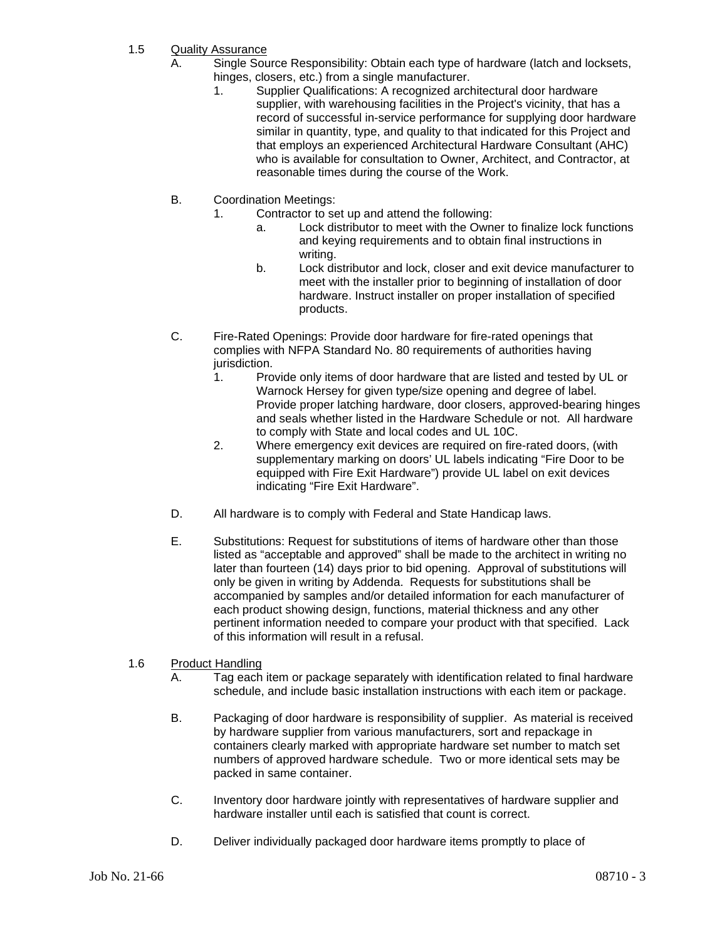- 1.5 Quality Assurance
	- A. Single Source Responsibility: Obtain each type of hardware (latch and locksets, hinges, closers, etc.) from a single manufacturer.
		- 1. Supplier Qualifications: A recognized architectural door hardware supplier, with warehousing facilities in the Project's vicinity, that has a record of successful in-service performance for supplying door hardware similar in quantity, type, and quality to that indicated for this Project and that employs an experienced Architectural Hardware Consultant (AHC) who is available for consultation to Owner, Architect, and Contractor, at reasonable times during the course of the Work.
	- B. Coordination Meetings:
		- 1. Contractor to set up and attend the following:
			- a. Lock distributor to meet with the Owner to finalize lock functions and keying requirements and to obtain final instructions in writing.
			- b. Lock distributor and lock, closer and exit device manufacturer to meet with the installer prior to beginning of installation of door hardware. Instruct installer on proper installation of specified products.
	- C. Fire-Rated Openings: Provide door hardware for fire-rated openings that complies with NFPA Standard No. 80 requirements of authorities having jurisdiction.
		- 1. Provide only items of door hardware that are listed and tested by UL or Warnock Hersey for given type/size opening and degree of label. Provide proper latching hardware, door closers, approved-bearing hinges and seals whether listed in the Hardware Schedule or not. All hardware to comply with State and local codes and UL 10C.
		- 2. Where emergency exit devices are required on fire-rated doors, (with supplementary marking on doors' UL labels indicating "Fire Door to be equipped with Fire Exit Hardware") provide UL label on exit devices indicating "Fire Exit Hardware".
	- D. All hardware is to comply with Federal and State Handicap laws.
	- E. Substitutions: Request for substitutions of items of hardware other than those listed as "acceptable and approved" shall be made to the architect in writing no later than fourteen (14) days prior to bid opening. Approval of substitutions will only be given in writing by Addenda. Requests for substitutions shall be accompanied by samples and/or detailed information for each manufacturer of each product showing design, functions, material thickness and any other pertinent information needed to compare your product with that specified. Lack of this information will result in a refusal.

# 1.6 Product Handling

- A. Tag each item or package separately with identification related to final hardware schedule, and include basic installation instructions with each item or package.
- B. Packaging of door hardware is responsibility of supplier. As material is received by hardware supplier from various manufacturers, sort and repackage in containers clearly marked with appropriate hardware set number to match set numbers of approved hardware schedule. Two or more identical sets may be packed in same container.
- C. Inventory door hardware jointly with representatives of hardware supplier and hardware installer until each is satisfied that count is correct.
- D. Deliver individually packaged door hardware items promptly to place of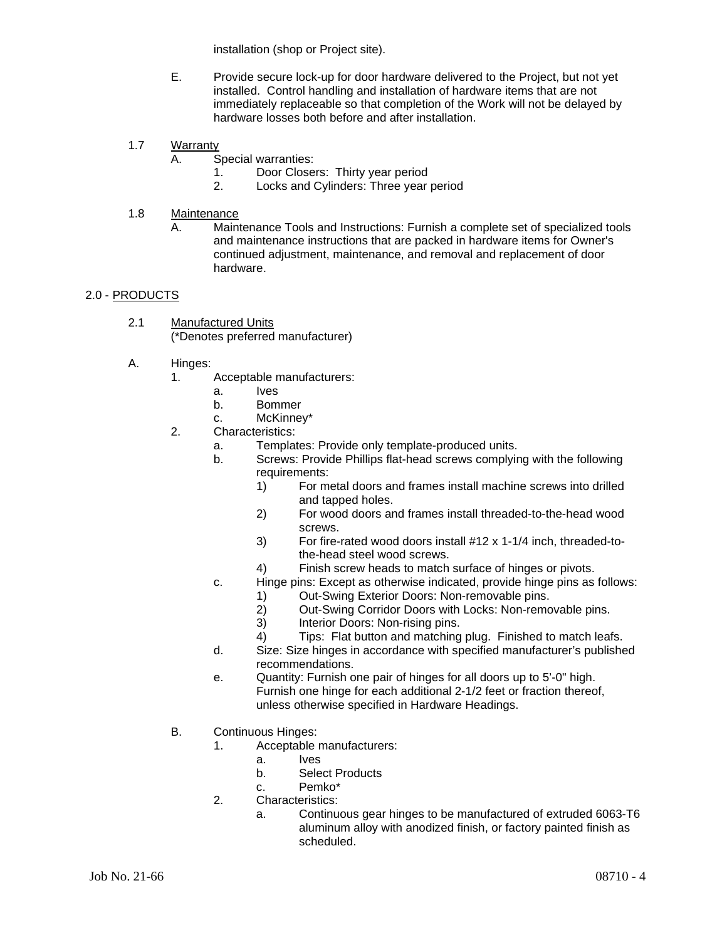installation (shop or Project site).

- E. Provide secure lock-up for door hardware delivered to the Project, but not yet installed. Control handling and installation of hardware items that are not immediately replaceable so that completion of the Work will not be delayed by hardware losses both before and after installation.
- 1.7 Warranty
	- A. Special warranties:
		- 1. Door Closers: Thirty year period
		- 2. Locks and Cylinders: Three year period
- 1.8 Maintenance
	- A. Maintenance Tools and Instructions: Furnish a complete set of specialized tools and maintenance instructions that are packed in hardware items for Owner's continued adjustment, maintenance, and removal and replacement of door hardware.

# 2.0 - PRODUCTS

- 2.1 Manufactured Units (\*Denotes preferred manufacturer)
- A. Hinges:
	- 1. Acceptable manufacturers:
		- a. Ives
		- b. Bommer
		- c. McKinney\*
	- 2. Characteristics:
		- a. Templates: Provide only template-produced units.
		- b. Screws: Provide Phillips flat-head screws complying with the following requirements:
			- 1) For metal doors and frames install machine screws into drilled and tapped holes.
			- 2) For wood doors and frames install threaded-to-the-head wood screws.
			- 3) For fire-rated wood doors install #12 x 1-1/4 inch, threaded-tothe-head steel wood screws.
			- 4) Finish screw heads to match surface of hinges or pivots.
		- c. Hinge pins: Except as otherwise indicated, provide hinge pins as follows:
			- 1) Out-Swing Exterior Doors: Non-removable pins.<br>2) Out-Swing Corridor Doors with Locks: Non-remo
			- 2) Out-Swing Corridor Doors with Locks: Non-removable pins.<br>3) Interior Doors: Non-rising pins.
			- Interior Doors: Non-rising pins.
			- 4) Tips: Flat button and matching plug. Finished to match leafs.
		- d. Size: Size hinges in accordance with specified manufacturer's published recommendations.
		- e. Quantity: Furnish one pair of hinges for all doors up to 5'-0" high. Furnish one hinge for each additional 2-1/2 feet or fraction thereof, unless otherwise specified in Hardware Headings.
	- B. Continuous Hinges:
		- 1. Acceptable manufacturers:
			- a. Ives
			- b. Select Products
			- c. Pemko\*
		- 2. Characteristics:
			- a. Continuous gear hinges to be manufactured of extruded 6063-T6 aluminum alloy with anodized finish, or factory painted finish as scheduled.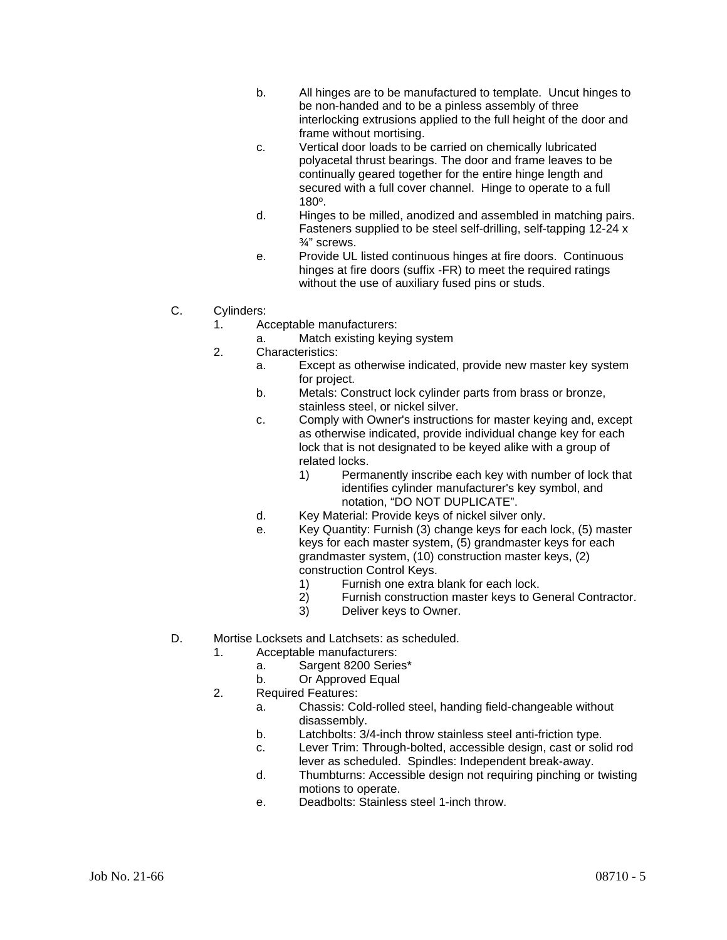- b. All hinges are to be manufactured to template. Uncut hinges to be non-handed and to be a pinless assembly of three interlocking extrusions applied to the full height of the door and frame without mortising.
- c. Vertical door loads to be carried on chemically lubricated polyacetal thrust bearings. The door and frame leaves to be continually geared together for the entire hinge length and secured with a full cover channel. Hinge to operate to a full 180o.
- d. Hinges to be milled, anodized and assembled in matching pairs. Fasteners supplied to be steel self-drilling, self-tapping 12-24 x ¾" screws.
- e. Provide UL listed continuous hinges at fire doors. Continuous hinges at fire doors (suffix -FR) to meet the required ratings without the use of auxiliary fused pins or studs.
- C. Cylinders:
	- 1. Acceptable manufacturers:
		- a. Match existing keying system
	- 2. Characteristics:
		- a. Except as otherwise indicated, provide new master key system for project.
		- b. Metals: Construct lock cylinder parts from brass or bronze, stainless steel, or nickel silver.
		- c. Comply with Owner's instructions for master keying and, except as otherwise indicated, provide individual change key for each lock that is not designated to be keyed alike with a group of related locks.
			- 1) Permanently inscribe each key with number of lock that identifies cylinder manufacturer's key symbol, and notation, "DO NOT DUPLICATE".
		- d. Key Material: Provide keys of nickel silver only.
		- e. Key Quantity: Furnish (3) change keys for each lock, (5) master keys for each master system, (5) grandmaster keys for each grandmaster system, (10) construction master keys, (2) construction Control Keys.
			- 1) Furnish one extra blank for each lock.
			- 2) Furnish construction master keys to General Contractor.
			- 3) Deliver keys to Owner.
- D. Mortise Locksets and Latchsets: as scheduled.
	- 1. Acceptable manufacturers:
		- a. Sargent 8200 Series\*
		- b. Or Approved Equal
	- 2. Required Features:
		- a. Chassis: Cold-rolled steel, handing field-changeable without disassembly.
		- b. Latchbolts: 3/4-inch throw stainless steel anti-friction type.
		- c. Lever Trim: Through-bolted, accessible design, cast or solid rod lever as scheduled. Spindles: Independent break-away.
		- d. Thumbturns: Accessible design not requiring pinching or twisting motions to operate.
		- e. Deadbolts: Stainless steel 1-inch throw.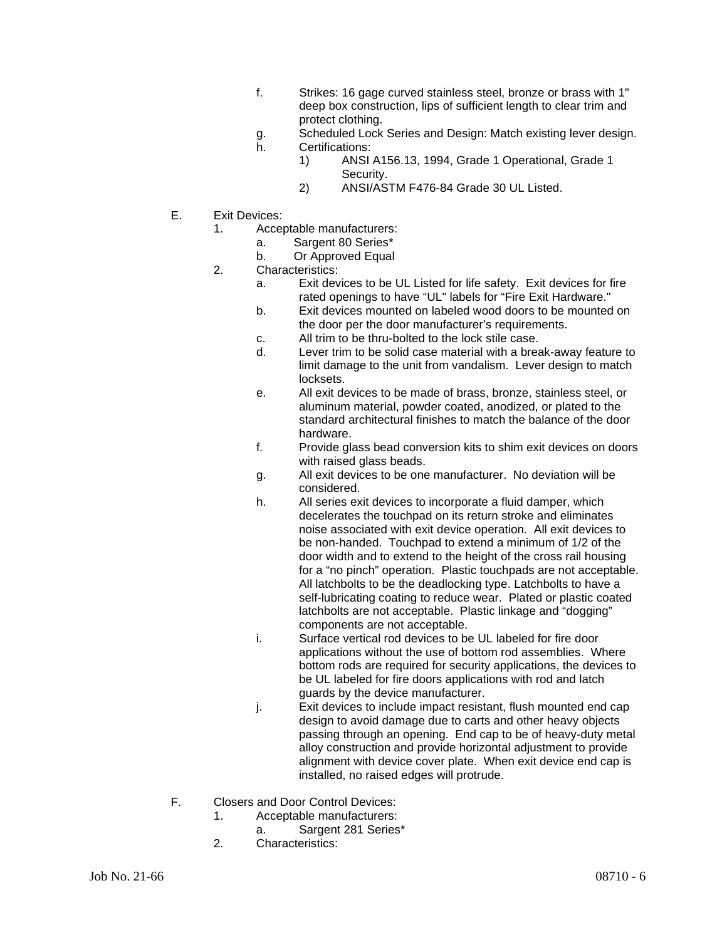- f. Strikes: 16 gage curved stainless steel, bronze or brass with 1" deep box construction, lips of sufficient length to clear trim and protect clothing.
- g. Scheduled Lock Series and Design: Match existing lever design.
- h. Certifications:
	- 1) ANSI A156.13, 1994, Grade 1 Operational, Grade 1 Security.
	- 2) ANSI/ASTM F476-84 Grade 30 UL Listed.
- E. Exit Devices:
	- 1. Acceptable manufacturers:
		- a. Sargent 80 Series\*
		- b. Or Approved Equal
	- 2. Characteristics:
		- a. Exit devices to be UL Listed for life safety. Exit devices for fire rated openings to have "UL" labels for "Fire Exit Hardware."
		- b. Exit devices mounted on labeled wood doors to be mounted on the door per the door manufacturer's requirements.
		- c. All trim to be thru-bolted to the lock stile case.
		- d. Lever trim to be solid case material with a break-away feature to limit damage to the unit from vandalism. Lever design to match locksets.
		- e. All exit devices to be made of brass, bronze, stainless steel, or aluminum material, powder coated, anodized, or plated to the standard architectural finishes to match the balance of the door hardware.
		- f. Provide glass bead conversion kits to shim exit devices on doors with raised glass beads.
		- g. All exit devices to be one manufacturer. No deviation will be considered.
		- h. All series exit devices to incorporate a fluid damper, which decelerates the touchpad on its return stroke and eliminates noise associated with exit device operation. All exit devices to be non-handed. Touchpad to extend a minimum of 1/2 of the door width and to extend to the height of the cross rail housing for a "no pinch" operation. Plastic touchpads are not acceptable. All latchbolts to be the deadlocking type. Latchbolts to have a self-lubricating coating to reduce wear. Plated or plastic coated latchbolts are not acceptable. Plastic linkage and "dogging" components are not acceptable.
		- i. Surface vertical rod devices to be UL labeled for fire door applications without the use of bottom rod assemblies. Where bottom rods are required for security applications, the devices to be UL labeled for fire doors applications with rod and latch guards by the device manufacturer.
		- j. Exit devices to include impact resistant, flush mounted end cap design to avoid damage due to carts and other heavy objects passing through an opening. End cap to be of heavy-duty metal alloy construction and provide horizontal adjustment to provide alignment with device cover plate. When exit device end cap is installed, no raised edges will protrude.
- F. Closers and Door Control Devices:
	- 1. Acceptable manufacturers:
		- a. Sargent 281 Series\*
	- 2. Characteristics: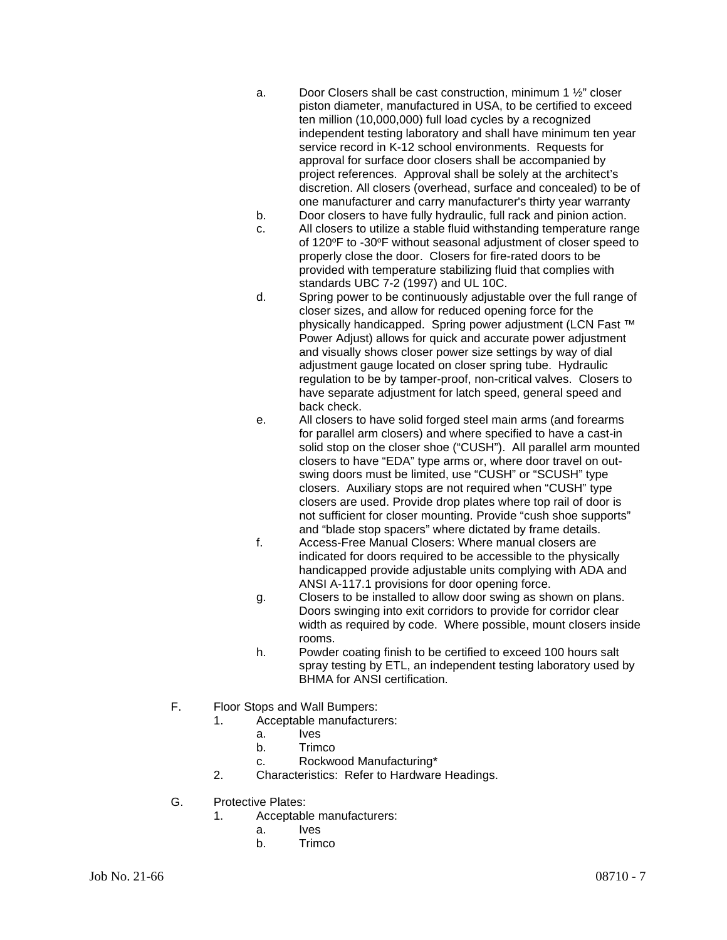- a. Door Closers shall be cast construction, minimum 1 ½" closer piston diameter, manufactured in USA, to be certified to exceed ten million (10,000,000) full load cycles by a recognized independent testing laboratory and shall have minimum ten year service record in K-12 school environments. Requests for approval for surface door closers shall be accompanied by project references. Approval shall be solely at the architect's discretion. All closers (overhead, surface and concealed) to be of one manufacturer and carry manufacturer's thirty year warranty
- b. Door closers to have fully hydraulic, full rack and pinion action.
- c. All closers to utilize a stable fluid withstanding temperature range of 120°F to -30°F without seasonal adjustment of closer speed to properly close the door. Closers for fire-rated doors to be provided with temperature stabilizing fluid that complies with standards UBC 7-2 (1997) and UL 10C.
- d. Spring power to be continuously adjustable over the full range of closer sizes, and allow for reduced opening force for the physically handicapped. Spring power adjustment (LCN Fast ™ Power Adjust) allows for quick and accurate power adjustment and visually shows closer power size settings by way of dial adjustment gauge located on closer spring tube. Hydraulic regulation to be by tamper-proof, non-critical valves. Closers to have separate adjustment for latch speed, general speed and back check.
- e. All closers to have solid forged steel main arms (and forearms for parallel arm closers) and where specified to have a cast-in solid stop on the closer shoe ("CUSH"). All parallel arm mounted closers to have "EDA" type arms or, where door travel on outswing doors must be limited, use "CUSH" or "SCUSH" type closers. Auxiliary stops are not required when "CUSH" type closers are used. Provide drop plates where top rail of door is not sufficient for closer mounting. Provide "cush shoe supports" and "blade stop spacers" where dictated by frame details.
- f. Access-Free Manual Closers: Where manual closers are indicated for doors required to be accessible to the physically handicapped provide adjustable units complying with ADA and ANSI A-117.1 provisions for door opening force.
- g. Closers to be installed to allow door swing as shown on plans. Doors swinging into exit corridors to provide for corridor clear width as required by code. Where possible, mount closers inside rooms.
- h. Powder coating finish to be certified to exceed 100 hours salt spray testing by ETL, an independent testing laboratory used by BHMA for ANSI certification.
- F. Floor Stops and Wall Bumpers:
	- 1. Acceptable manufacturers:
		- a. Ives
		- b. Trimco
		- c. Rockwood Manufacturing\*
		- 2. Characteristics: Refer to Hardware Headings.
- G. Protective Plates:
	- 1. Acceptable manufacturers:
		- a. Ives
		- b. Trimco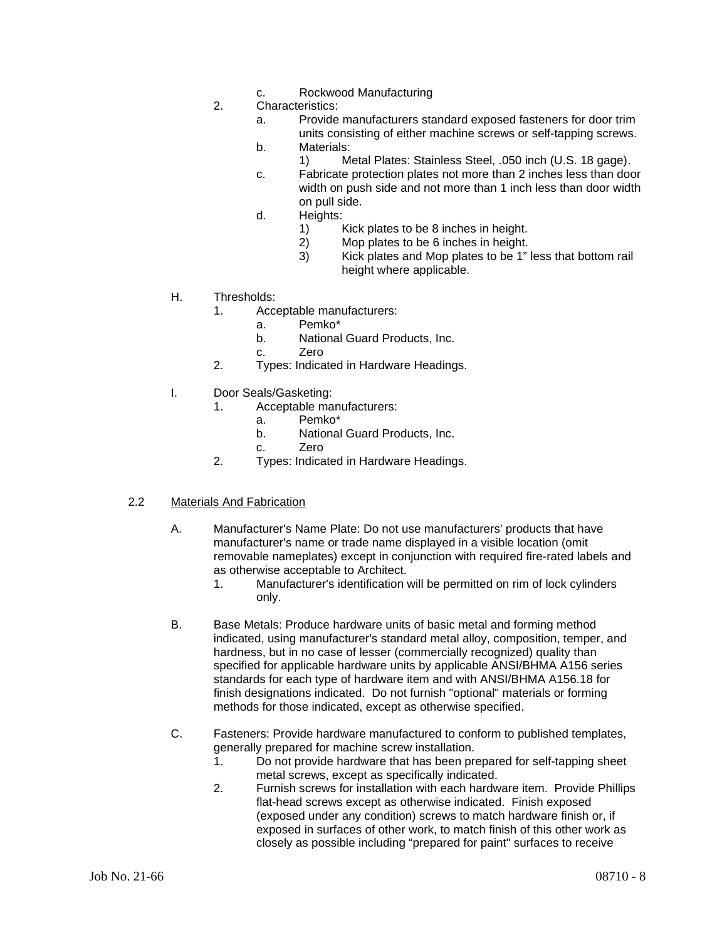- c. Rockwood Manufacturing
- 2. Characteristics:
	- a. Provide manufacturers standard exposed fasteners for door trim units consisting of either machine screws or self-tapping screws.
	- b. Materials:
		- 1) Metal Plates: Stainless Steel, .050 inch (U.S. 18 gage).
	- c. Fabricate protection plates not more than 2 inches less than door width on push side and not more than 1 inch less than door width on pull side.
	- d. Heights:
		- 1) Kick plates to be 8 inches in height.
		- 2) Mop plates to be 6 inches in height.<br>3) Kick plates and Mop plates to be 1"
		- Kick plates and Mop plates to be 1" less that bottom rail height where applicable.
- H. Thresholds:
	- 1. Acceptable manufacturers:
		- a. Pemko\*
		- b. National Guard Products, Inc.
		- c. Zero
	- 2. Types: Indicated in Hardware Headings.
- I. Door Seals/Gasketing:
	- 1. Acceptable manufacturers:
		- a. Pemko\*
		- b. National Guard Products, Inc.
		- c. Zero
	- 2. Types: Indicated in Hardware Headings.

#### 2.2 Materials And Fabrication

- A. Manufacturer's Name Plate: Do not use manufacturers' products that have manufacturer's name or trade name displayed in a visible location (omit removable nameplates) except in conjunction with required fire-rated labels and as otherwise acceptable to Architect.
	- 1. Manufacturer's identification will be permitted on rim of lock cylinders only.
- B. Base Metals: Produce hardware units of basic metal and forming method indicated, using manufacturer's standard metal alloy, composition, temper, and hardness, but in no case of lesser (commercially recognized) quality than specified for applicable hardware units by applicable ANSI/BHMA A156 series standards for each type of hardware item and with ANSI/BHMA A156.18 for finish designations indicated. Do not furnish "optional" materials or forming methods for those indicated, except as otherwise specified.
- C. Fasteners: Provide hardware manufactured to conform to published templates, generally prepared for machine screw installation.
	- 1. Do not provide hardware that has been prepared for self-tapping sheet metal screws, except as specifically indicated.
	- 2. Furnish screws for installation with each hardware item. Provide Phillips flat-head screws except as otherwise indicated. Finish exposed (exposed under any condition) screws to match hardware finish or, if exposed in surfaces of other work, to match finish of this other work as closely as possible including "prepared for paint" surfaces to receive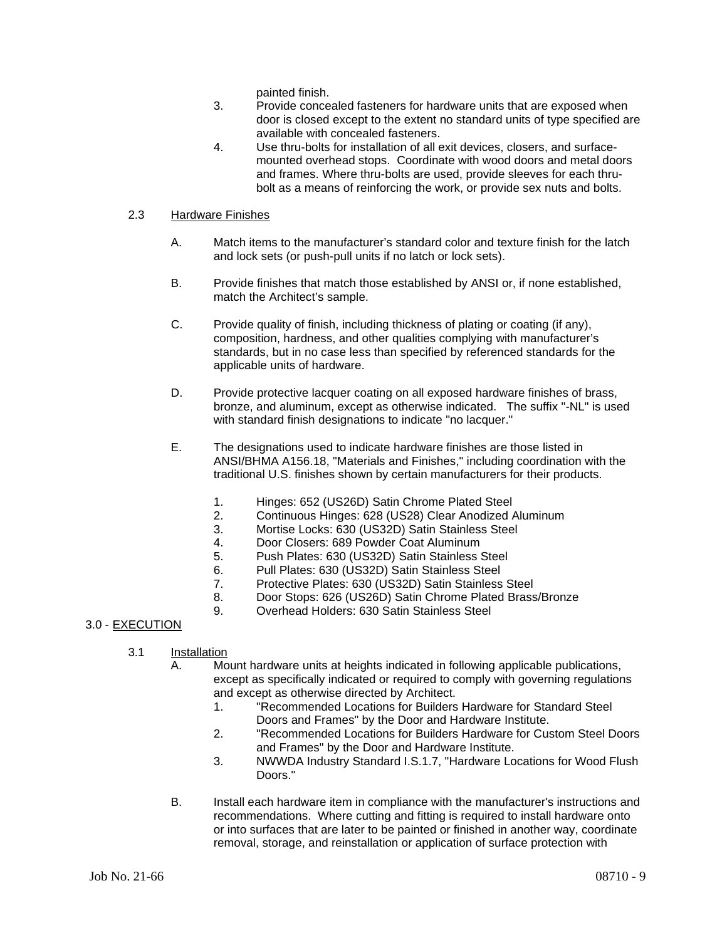painted finish.

- 3. Provide concealed fasteners for hardware units that are exposed when door is closed except to the extent no standard units of type specified are available with concealed fasteners.
- 4. Use thru-bolts for installation of all exit devices, closers, and surfacemounted overhead stops. Coordinate with wood doors and metal doors and frames. Where thru-bolts are used, provide sleeves for each thrubolt as a means of reinforcing the work, or provide sex nuts and bolts.

## 2.3 Hardware Finishes

- A. Match items to the manufacturer's standard color and texture finish for the latch and lock sets (or push-pull units if no latch or lock sets).
- B. Provide finishes that match those established by ANSI or, if none established, match the Architect's sample.
- C. Provide quality of finish, including thickness of plating or coating (if any), composition, hardness, and other qualities complying with manufacturer's standards, but in no case less than specified by referenced standards for the applicable units of hardware.
- D. Provide protective lacquer coating on all exposed hardware finishes of brass, bronze, and aluminum, except as otherwise indicated. The suffix "-NL" is used with standard finish designations to indicate "no lacquer."
- E. The designations used to indicate hardware finishes are those listed in ANSI/BHMA A156.18, "Materials and Finishes," including coordination with the traditional U.S. finishes shown by certain manufacturers for their products.
	- 1. Hinges: 652 (US26D) Satin Chrome Plated Steel
	- 2. Continuous Hinges: 628 (US28) Clear Anodized Aluminum
	- 3. Mortise Locks: 630 (US32D) Satin Stainless Steel
	- 4. Door Closers: 689 Powder Coat Aluminum
	- 5. Push Plates: 630 (US32D) Satin Stainless Steel
	- 6. Pull Plates: 630 (US32D) Satin Stainless Steel
	- 7. Protective Plates: 630 (US32D) Satin Stainless Steel
	- 8. Door Stops: 626 (US26D) Satin Chrome Plated Brass/Bronze
	- 9. Overhead Holders: 630 Satin Stainless Steel

# 3.0 - EXECUTION

- 3.1  $\frac{Instantation}{\Delta}$ 
	- Mount hardware units at heights indicated in following applicable publications, except as specifically indicated or required to comply with governing regulations and except as otherwise directed by Architect.<br>1 TRecommended Locations for Builders
		- 1. "Recommended Locations for Builders Hardware for Standard Steel Doors and Frames" by the Door and Hardware Institute.
		- 2. "Recommended Locations for Builders Hardware for Custom Steel Doors and Frames" by the Door and Hardware Institute.
		- 3. NWWDA Industry Standard I.S.1.7, "Hardware Locations for Wood Flush Doors."
	- B. Install each hardware item in compliance with the manufacturer's instructions and recommendations. Where cutting and fitting is required to install hardware onto or into surfaces that are later to be painted or finished in another way, coordinate removal, storage, and reinstallation or application of surface protection with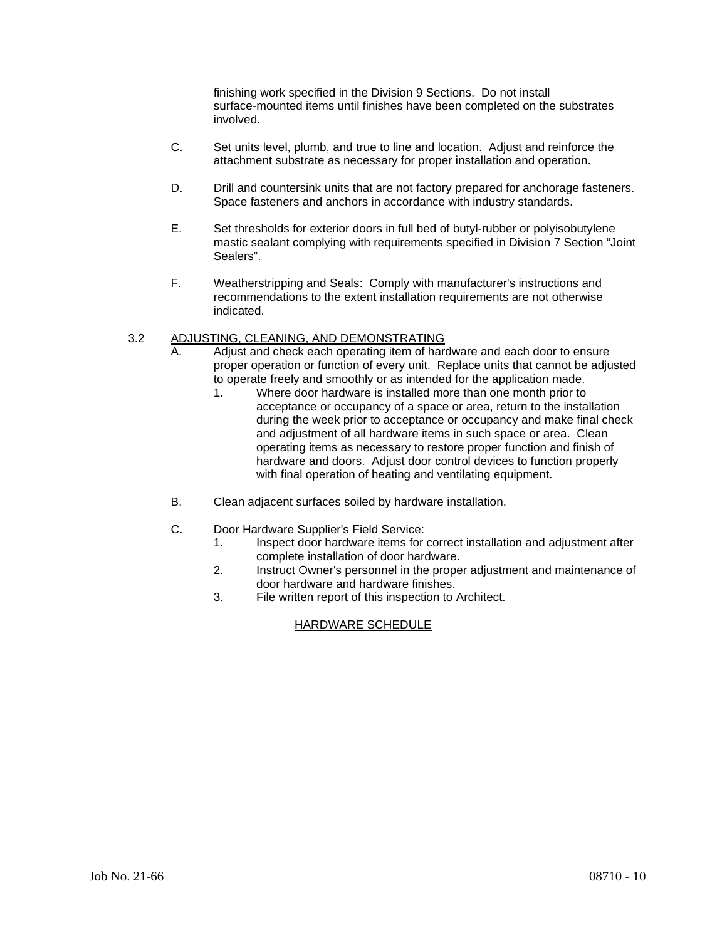finishing work specified in the Division 9 Sections. Do not install surface-mounted items until finishes have been completed on the substrates involved.

- C. Set units level, plumb, and true to line and location. Adjust and reinforce the attachment substrate as necessary for proper installation and operation.
- D. Drill and countersink units that are not factory prepared for anchorage fasteners. Space fasteners and anchors in accordance with industry standards.
- E. Set thresholds for exterior doors in full bed of butyl-rubber or polyisobutylene mastic sealant complying with requirements specified in Division 7 Section "Joint Sealers".
- F. Weatherstripping and Seals: Comply with manufacturer's instructions and recommendations to the extent installation requirements are not otherwise indicated.

#### 3.2 ADJUSTING, CLEANING, AND DEMONSTRATING

- A. Adjust and check each operating item of hardware and each door to ensure proper operation or function of every unit. Replace units that cannot be adjusted to operate freely and smoothly or as intended for the application made.
	- 1. Where door hardware is installed more than one month prior to acceptance or occupancy of a space or area, return to the installation during the week prior to acceptance or occupancy and make final check and adjustment of all hardware items in such space or area. Clean operating items as necessary to restore proper function and finish of hardware and doors. Adjust door control devices to function properly with final operation of heating and ventilating equipment.
- B. Clean adjacent surfaces soiled by hardware installation.
- C. Door Hardware Supplier's Field Service:
	- 1. Inspect door hardware items for correct installation and adjustment after complete installation of door hardware.
	- 2. Instruct Owner's personnel in the proper adjustment and maintenance of door hardware and hardware finishes.
	- 3. File written report of this inspection to Architect.

# HARDWARE SCHEDULE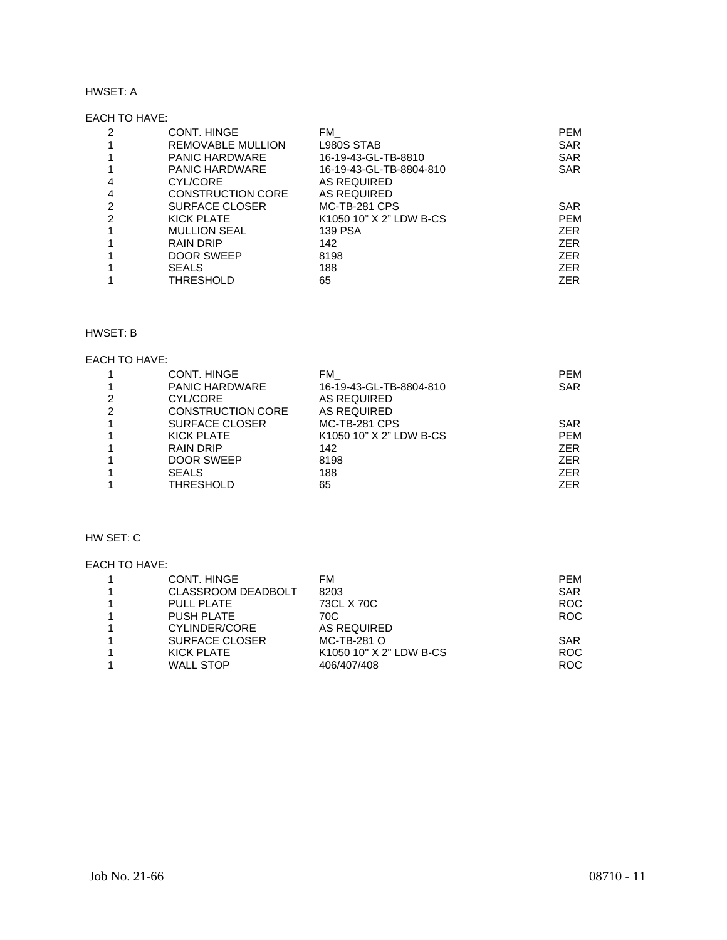## HWSET: A

## EACH TO HAVE:

| 2 | CONT. HINGE              | FM.                     | <b>PEM</b> |
|---|--------------------------|-------------------------|------------|
|   | REMOVABLE MULLION        | L980S STAB              | <b>SAR</b> |
|   | <b>PANIC HARDWARE</b>    | 16-19-43-GL-TB-8810     | <b>SAR</b> |
|   | <b>PANIC HARDWARE</b>    | 16-19-43-GL-TB-8804-810 | <b>SAR</b> |
| 4 | CYL/CORE                 | AS REQUIRED             |            |
| 4 | <b>CONSTRUCTION CORE</b> | AS REQUIRED             |            |
| 2 | <b>SURFACE CLOSER</b>    | <b>MC-TB-281 CPS</b>    | <b>SAR</b> |
| 2 | KICK PLATE               | K1050 10" X 2" LDW B-CS | <b>PEM</b> |
|   | <b>MULLION SEAL</b>      | <b>139 PSA</b>          | <b>ZER</b> |
|   | RAIN DRIP                | 142                     | <b>ZER</b> |
|   | DOOR SWEEP               | 8198                    | <b>ZER</b> |
|   | <b>SEALS</b>             | 188                     | <b>ZER</b> |
|   | THRESHOLD                | 65                      | ZER.       |

## HWSET: B

#### EACH TO HAVE:

|   | CONT. HINGE              | FM                      | <b>PEM</b> |
|---|--------------------------|-------------------------|------------|
|   | <b>PANIC HARDWARE</b>    | 16-19-43-GL-TB-8804-810 | <b>SAR</b> |
|   | CYL/CORE                 | AS REQUIRED             |            |
| 2 | <b>CONSTRUCTION CORE</b> | AS REQUIRED             |            |
|   | <b>SURFACE CLOSER</b>    | <b>MC-TB-281 CPS</b>    | <b>SAR</b> |
|   | KICK PLATE               | K1050 10" X 2" LDW B-CS | <b>PEM</b> |
|   | <b>RAIN DRIP</b>         | 142                     | <b>ZER</b> |
|   | <b>DOOR SWEEP</b>        | 8198                    | <b>ZER</b> |
|   | <b>SEALS</b>             | 188                     | <b>ZER</b> |
|   | THRESHOLD                | 65                      | ZER        |

# HW SET: C

## EACH TO HAVE:

| CONT. HINGE               | FM                      | <b>PFM</b> |
|---------------------------|-------------------------|------------|
| <b>CLASSROOM DEADBOLT</b> | 8203                    | <b>SAR</b> |
| <b>PULL PLATE</b>         | 73CL X 70C              | <b>ROC</b> |
| <b>PUSH PLATE</b>         | 70C                     | ROC.       |
| CYLINDER/CORE             | AS REQUIRED             |            |
| <b>SURFACE CLOSER</b>     | MC-TB-281 O             | <b>SAR</b> |
| KICK PLATE                | K1050 10" X 2" LDW B-CS | ROC.       |
| <b>WALL STOP</b>          | 406/407/408             | ROC.       |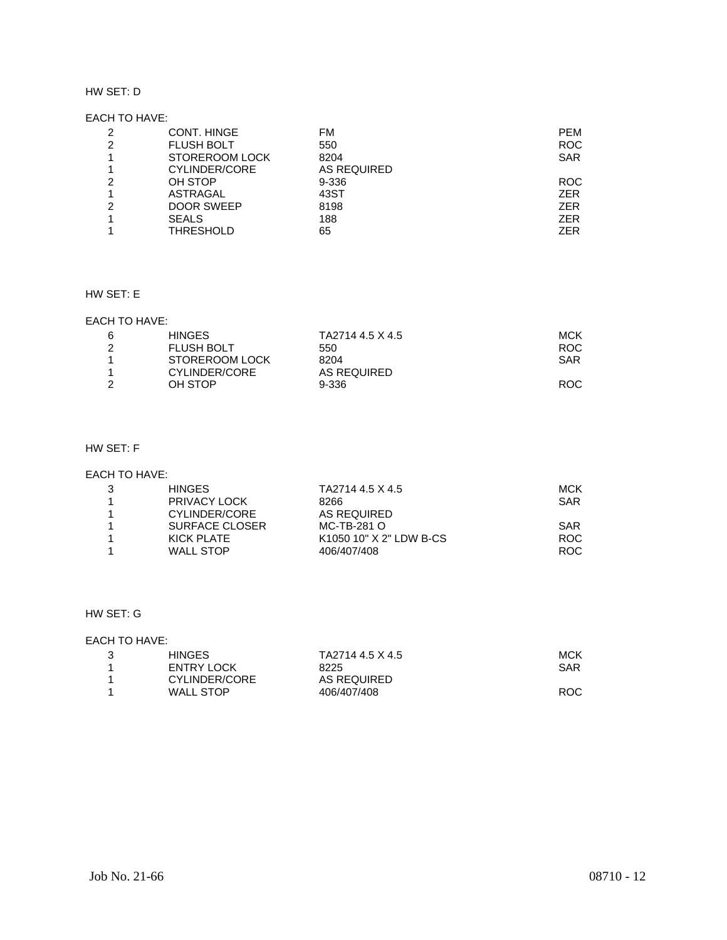#### HW SET: D

## EACH TO HAVE:

| 2 | CONT. HINGE       | FM          | <b>PEM</b> |
|---|-------------------|-------------|------------|
| 2 | <b>FLUSH BOLT</b> | 550         | <b>ROC</b> |
|   | STOREROOM LOCK    | 8204        | <b>SAR</b> |
|   | CYLINDER/CORE     | AS REQUIRED |            |
| 2 | OH STOP           | 9-336       | <b>ROC</b> |
|   | <b>ASTRAGAL</b>   | 43ST        | <b>ZER</b> |
| 2 | <b>DOOR SWEEP</b> | 8198        | <b>ZER</b> |
|   | <b>SEALS</b>      | 188         | <b>ZER</b> |
|   | THRESHOLD         | 65          | ZER        |

# HW SET: E

## EACH TO HAVE:

| 6 | <b>HINGES</b>     | TA2714 4.5 X 4.5 | MCK  |
|---|-------------------|------------------|------|
|   | <b>FLUSH BOLT</b> | 550              | ROC. |
|   | STOREROOM LOCK    | 8204             | SAR  |
|   | CYLINDER/CORE     | AS REQUIRED      |      |
|   | OH STOP           | 9-336            | ROC. |

# HW SET: F

#### EACH TO HAVE:

| <b>HINGES</b>  | TA2714 4.5 X 4.5        | <b>MCK</b> |
|----------------|-------------------------|------------|
| PRIVACY LOCK   | 8266                    | <b>SAR</b> |
| CYLINDER/CORE  | AS REQUIRED             |            |
| SURFACE CLOSER | MC-TB-281 O             | <b>SAR</b> |
| KICK PLATE     | K1050 10" X 2" LDW B-CS | ROC.       |
| WALL STOP      | 406/407/408             | ROC.       |

# HW SET: G

## EACH TO HAVE:

|    | <b>HINGES</b> | TA2714 4.5 X 4.5 | MCK        |
|----|---------------|------------------|------------|
|    | ENTRY LOCK    | 8225             | <b>SAR</b> |
| -1 | CYLINDER/CORE | AS REQUIRED      |            |
| -1 | WALL STOP     | 406/407/408      | ROC.       |